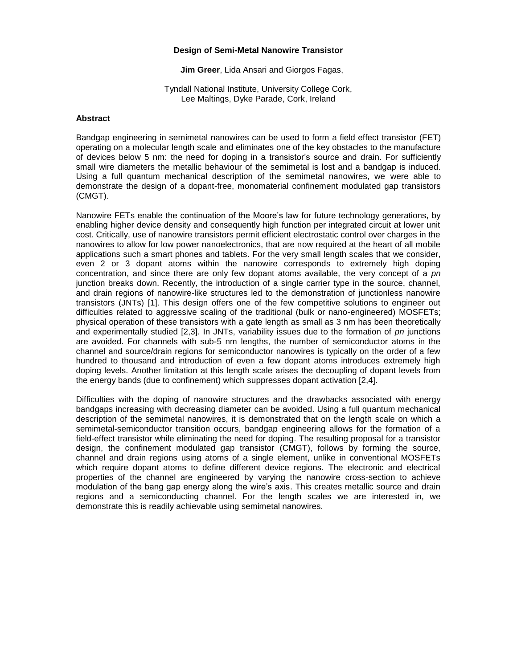## **Design of Semi-Metal Nanowire Transistor**

**Jim Greer**, Lida Ansari and Giorgos Fagas,

Tyndall National Institute, University College Cork, Lee Maltings, Dyke Parade, Cork, Ireland

## **Abstract**

Bandgap engineering in semimetal nanowires can be used to form a field effect transistor (FET) operating on a molecular length scale and eliminates one of the key obstacles to the manufacture of devices below 5 nm: the need for doping in a transistor's source and drain. For sufficiently small wire diameters the metallic behaviour of the semimetal is lost and a bandgap is induced. Using a full quantum mechanical description of the semimetal nanowires, we were able to demonstrate the design of a dopant-free, monomaterial confinement modulated gap transistors (CMGT).

Nanowire FETs enable the continuation of the Moore's law for future technology generations, by enabling higher device density and consequently high function per integrated circuit at lower unit cost. Critically, use of nanowire transistors permit efficient electrostatic control over charges in the nanowires to allow for low power nanoelectronics, that are now required at the heart of all mobile applications such a smart phones and tablets. For the very small length scales that we consider, even 2 or 3 dopant atoms within the nanowire corresponds to extremely high doping concentration, and since there are only few dopant atoms available, the very concept of a *pn* junction breaks down. Recently, the introduction of a single carrier type in the source, channel, and drain regions of nanowire-like structures led to the demonstration of junctionless nanowire transistors (JNTs) [1]. This design offers one of the few competitive solutions to engineer out difficulties related to aggressive scaling of the traditional (bulk or nano-engineered) MOSFETs; physical operation of these transistors with a gate length as small as 3 nm has been theoretically and experimentally studied [2,3]. In JNTs, variability issues due to the formation of *pn* junctions are avoided. For channels with sub-5 nm lengths, the number of semiconductor atoms in the channel and source/drain regions for semiconductor nanowires is typically on the order of a few hundred to thousand and introduction of even a few dopant atoms introduces extremely high doping levels. Another limitation at this length scale arises the decoupling of dopant levels from the energy bands (due to confinement) which suppresses dopant activation [2,4].

Difficulties with the doping of nanowire structures and the drawbacks associated with energy bandgaps increasing with decreasing diameter can be avoided. Using a full quantum mechanical description of the semimetal nanowires, it is demonstrated that on the length scale on which a semimetal-semiconductor transition occurs, bandgap engineering allows for the formation of a field-effect transistor while eliminating the need for doping. The resulting proposal for a transistor design, the confinement modulated gap transistor (CMGT), follows by forming the source, channel and drain regions using atoms of a single element, unlike in conventional MOSFETs which require dopant atoms to define different device regions. The electronic and electrical properties of the channel are engineered by varying the nanowire cross-section to achieve modulation of the bang gap energy along the wire's axis. This creates metallic source and drain regions and a semiconducting channel. For the length scales we are interested in, we demonstrate this is readily achievable using semimetal nanowires.